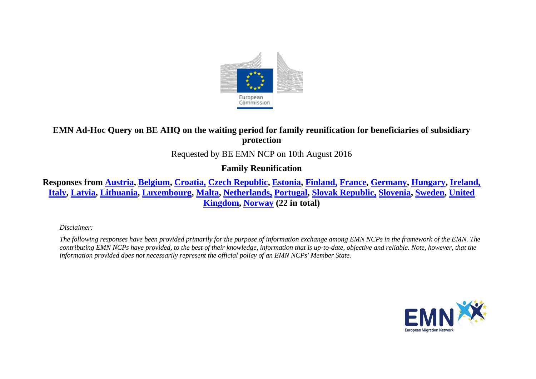

# **EMN Ad-Hoc Query on BE AHQ on the waiting period for family reunification for beneficiaries of subsidiary protection**

### Requested by BE EMN NCP on 10th August 2016

## **Family Reunification**

**Responses from [Austria,](#page-1-0) [Belgium,](#page-2-0) [Croatia,](#page-2-1) [Czech Republic,](#page-2-2) [Estonia,](#page-2-3) [Finland,](#page-2-4) [France,](#page-3-0) [Germany,](#page-3-1) [Hungary,](#page-3-2) [Ireland,](#page-3-3) [Italy,](#page-4-0) [Latvia,](#page-4-1) [Lithuania,](#page-4-2) [Luxembourg,](#page-4-3) [Malta,](#page-5-0) [Netherlands,](#page-5-1) [Portugal,](#page-5-2) [Slovak Republic,](#page-5-3) [Slovenia,](#page-5-4) [Sweden,](#page-6-0) [United](#page-6-1)  [Kingdom,](#page-6-1) [Norway](#page-6-2) (22 in total)**

*Disclaimer:* 

*The following responses have been provided primarily for the purpose of information exchange among EMN NCPs in the framework of the EMN. The contributing EMN NCPs have provided, to the best of their knowledge, information that is up-to-date, objective and reliable. Note, however, that the information provided does not necessarily represent the official policy of an EMN NCPs' Member State.*

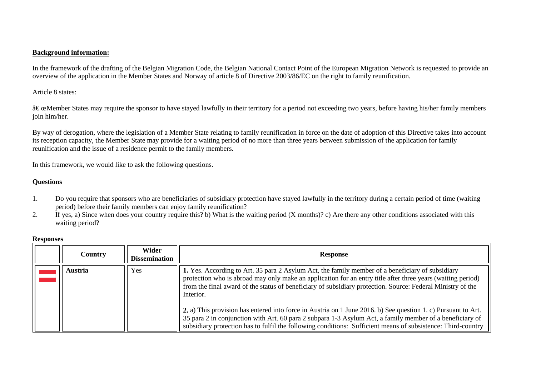### **Background information:**

In the framework of the drafting of the Belgian Migration Code, the Belgian National Contact Point of the European Migration Network is requested to provide an overview of the application in the Member States and Norway of article 8 of Directive 2003/86/EC on the right to family reunification.

Article 8 states:

 $\hat{a} \in \alpha$  Member States may require the sponsor to have stayed lawfully in their territory for a period not exceeding two years, before having his/her family members join him/her.

By way of derogation, where the legislation of a Member State relating to family reunification in force on the date of adoption of this Directive takes into account its reception capacity, the Member State may provide for a waiting period of no more than three years between submission of the application for family reunification and the issue of a residence permit to the family members.

In this framework, we would like to ask the following questions.

#### **Questions**

- 1. Do you require that sponsors who are beneficiaries of subsidiary protection have stayed lawfully in the territory during a certain period of time (waiting period) before their family members can enjoy family reunification?
- 2. If yes, a) Since when does your country require this? b) What is the waiting period  $(X \text{ months})$ ? c) Are there any other conditions associated with this waiting period?

<span id="page-1-0"></span>

| <b>Country</b> | Wider<br><b>Dissemination</b> | <b>Response</b>                                                                                                                                                                                                                                                                                                                                                                                                                                              |
|----------------|-------------------------------|--------------------------------------------------------------------------------------------------------------------------------------------------------------------------------------------------------------------------------------------------------------------------------------------------------------------------------------------------------------------------------------------------------------------------------------------------------------|
| Austria        | Yes                           | 1. Yes. According to Art. 35 para 2 Asylum Act, the family member of a beneficiary of subsidiary<br>protection who is abroad may only make an application for an entry title after three years (waiting period)<br>from the final award of the status of beneficiary of subsidiary protection. Source: Federal Ministry of the<br>Interior.<br>2. a) This provision has entered into force in Austria on 1 June 2016. b) See question 1. c) Pursuant to Art. |
|                |                               | 35 para 2 in conjunction with Art. 60 para 2 subpara 1-3 Asylum Act, a family member of a beneficiary of<br>subsidiary protection has to fulfil the following conditions: Sufficient means of subsistence: Third-country                                                                                                                                                                                                                                     |

#### **Responses**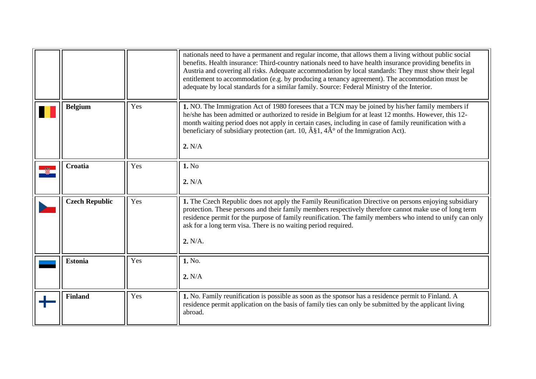<span id="page-2-4"></span><span id="page-2-3"></span><span id="page-2-2"></span><span id="page-2-1"></span><span id="page-2-0"></span>

|                       |     | nationals need to have a permanent and regular income, that allows them a living without public social<br>benefits. Health insurance: Third-country nationals need to have health insurance providing benefits in<br>Austria and covering all risks. Adequate accommodation by local standards: They must show their legal<br>entitlement to accommodation (e.g. by producing a tenancy agreement). The accommodation must be<br>adequate by local standards for a similar family. Source: Federal Ministry of the Interior. |
|-----------------------|-----|------------------------------------------------------------------------------------------------------------------------------------------------------------------------------------------------------------------------------------------------------------------------------------------------------------------------------------------------------------------------------------------------------------------------------------------------------------------------------------------------------------------------------|
| <b>Belgium</b>        | Yes | 1. NO. The Immigration Act of 1980 foresees that a TCN may be joined by his/her family members if<br>he/she has been admitted or authorized to reside in Belgium for at least 12 months. However, this 12-<br>month waiting period does not apply in certain cases, including in case of family reunification with a<br>beneficiary of subsidiary protection (art. 10, $\hat{A}\$ 1, $4\hat{A}^{\circ}$ of the Immigration Act).<br>2. N/A                                                                                   |
| Croatia               | Yes | 1. No<br>2. N/A                                                                                                                                                                                                                                                                                                                                                                                                                                                                                                              |
| <b>Czech Republic</b> | Yes | 1. The Czech Republic does not apply the Family Reunification Directive on persons enjoying subsidiary<br>protection. These persons and their family members respectively therefore cannot make use of long term<br>residence permit for the purpose of family reunification. The family members who intend to unify can only<br>ask for a long term visa. There is no waiting period required.<br>2. N/A.                                                                                                                   |
| <b>Estonia</b>        | Yes | 1. No.<br>2. N/A                                                                                                                                                                                                                                                                                                                                                                                                                                                                                                             |
| <b>Finland</b>        | Yes | 1. No. Family reunification is possible as soon as the sponsor has a residence permit to Finland. A<br>residence permit application on the basis of family ties can only be submitted by the applicant living<br>abroad.                                                                                                                                                                                                                                                                                                     |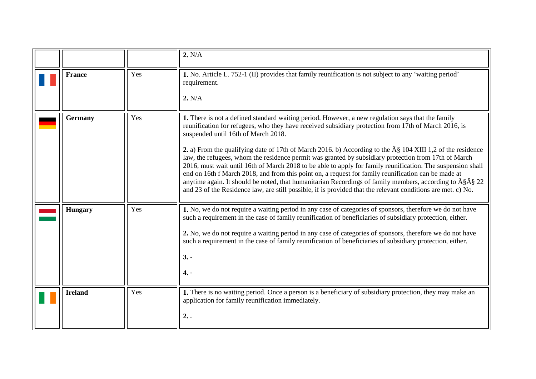<span id="page-3-3"></span><span id="page-3-2"></span><span id="page-3-1"></span><span id="page-3-0"></span>

|                |     | 2. N/A                                                                                                                                                                                                                                                                                                                                                                                                                                                                                                                                                                                                                                                                                                                                                                                                                                                                                                                                                    |
|----------------|-----|-----------------------------------------------------------------------------------------------------------------------------------------------------------------------------------------------------------------------------------------------------------------------------------------------------------------------------------------------------------------------------------------------------------------------------------------------------------------------------------------------------------------------------------------------------------------------------------------------------------------------------------------------------------------------------------------------------------------------------------------------------------------------------------------------------------------------------------------------------------------------------------------------------------------------------------------------------------|
| <b>France</b>  | Yes | 1. No. Article L. 752-1 (II) provides that family reunification is not subject to any 'waiting period'<br>requirement.<br>2. N/A                                                                                                                                                                                                                                                                                                                                                                                                                                                                                                                                                                                                                                                                                                                                                                                                                          |
| Germany        | Yes | 1. There is not a defined standard waiting period. However, a new regulation says that the family<br>reunification for refugees, who they have received subsidiary protection from 17th of March 2016, is<br>suspended until 16th of March 2018.<br>2. a) From the qualifying date of 17th of March 2016. b) According to the $\hat{A}\$ 104 XIII 1,2 of the residence<br>law, the refugees, whom the residence permit was granted by subsidiary protection from 17th of March<br>2016, must wait until 16th of March 2018 to be able to apply for family reunification. The suspension shall<br>end on 16th f March 2018, and from this point on, a request for family reunification can be made at<br>anytime again. It should be noted, that humanitarian Recordings of family members, according to $\hat{A}\hat{S}\hat{A}\hat{S}$ 22<br>and 23 of the Residence law, are still possible, if is provided that the relevant conditions are met. c) No. |
| <b>Hungary</b> | Yes | 1. No, we do not require a waiting period in any case of categories of sponsors, therefore we do not have<br>such a requirement in the case of family reunification of beneficiaries of subsidiary protection, either.<br>2. No, we do not require a waiting period in any case of categories of sponsors, therefore we do not have<br>such a requirement in the case of family reunification of beneficiaries of subsidiary protection, either.<br>$3. -$<br>$4. -$                                                                                                                                                                                                                                                                                                                                                                                                                                                                                      |
| <b>Ireland</b> | Yes | 1. There is no waiting period. Once a person is a beneficiary of subsidiary protection, they may make an<br>application for family reunification immediately.<br>2.                                                                                                                                                                                                                                                                                                                                                                                                                                                                                                                                                                                                                                                                                                                                                                                       |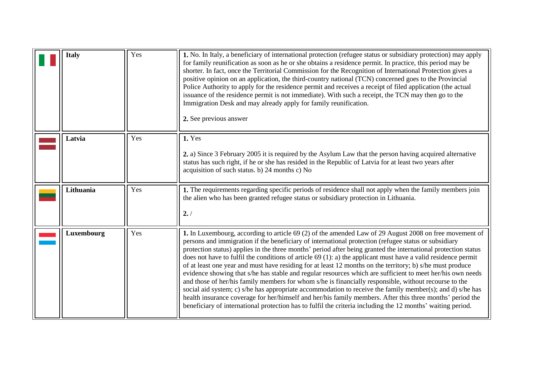<span id="page-4-3"></span><span id="page-4-2"></span><span id="page-4-1"></span><span id="page-4-0"></span>

| <b>Italy</b> | Yes | 1. No. In Italy, a beneficiary of international protection (refugee status or subsidiary protection) may apply<br>for family reunification as soon as he or she obtains a residence permit. In practice, this period may be<br>shorter. In fact, once the Territorial Commission for the Recognition of International Protection gives a<br>positive opinion on an application, the third-country national (TCN) concerned goes to the Provincial<br>Police Authority to apply for the residence permit and receives a receipt of filed application (the actual<br>issuance of the residence permit is not immediate). With such a receipt, the TCN may then go to the<br>Immigration Desk and may already apply for family reunification.<br>2. See previous answer                                                                                                                                                                                                                                                                                                                                                             |
|--------------|-----|----------------------------------------------------------------------------------------------------------------------------------------------------------------------------------------------------------------------------------------------------------------------------------------------------------------------------------------------------------------------------------------------------------------------------------------------------------------------------------------------------------------------------------------------------------------------------------------------------------------------------------------------------------------------------------------------------------------------------------------------------------------------------------------------------------------------------------------------------------------------------------------------------------------------------------------------------------------------------------------------------------------------------------------------------------------------------------------------------------------------------------|
| Latvia       | Yes | 1. Yes<br>2. a) Since 3 February 2005 it is required by the Asylum Law that the person having acquired alternative<br>status has such right, if he or she has resided in the Republic of Latvia for at least two years after<br>acquisition of such status. b) 24 months c) No                                                                                                                                                                                                                                                                                                                                                                                                                                                                                                                                                                                                                                                                                                                                                                                                                                                   |
| Lithuania    | Yes | 1. The requirements regarding specific periods of residence shall not apply when the family members join<br>the alien who has been granted refugee status or subsidiary protection in Lithuania.<br>2. /                                                                                                                                                                                                                                                                                                                                                                                                                                                                                                                                                                                                                                                                                                                                                                                                                                                                                                                         |
| Luxembourg   | Yes | 1. In Luxembourg, according to article 69 (2) of the amended Law of 29 August 2008 on free movement of<br>persons and immigration if the beneficiary of international protection (refugee status or subsidiary<br>protection status) applies in the three months' period after being granted the international protection status<br>does not have to fulfil the conditions of article $69(1)$ : a) the applicant must have a valid residence permit<br>of at least one year and must have residing for at least 12 months on the territory; b) s/he must produce<br>evidence showing that s/he has stable and regular resources which are sufficient to meet her/his own needs<br>and those of her/his family members for whom s/he is financially responsible, without recourse to the<br>social aid system; c) s/he has appropriate accommodation to receive the family member(s); and d) s/he has<br>health insurance coverage for her/himself and her/his family members. After this three months' period the<br>beneficiary of international protection has to fulfil the criteria including the 12 months' waiting period. |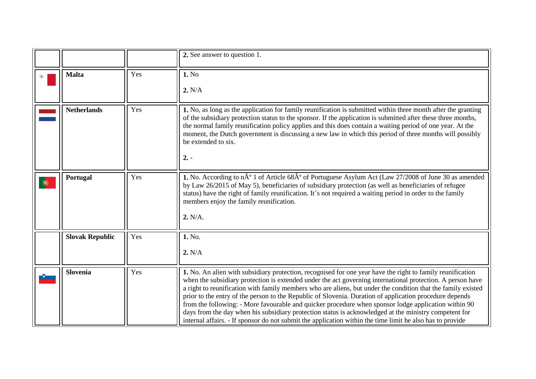<span id="page-5-4"></span><span id="page-5-3"></span><span id="page-5-2"></span><span id="page-5-1"></span><span id="page-5-0"></span>

|           |                        |     | 2. See answer to question 1.                                                                                                                                                                                                                                                                                                                                                                                                                                                                                                                                                                                                                                                                                                                                                      |
|-----------|------------------------|-----|-----------------------------------------------------------------------------------------------------------------------------------------------------------------------------------------------------------------------------------------------------------------------------------------------------------------------------------------------------------------------------------------------------------------------------------------------------------------------------------------------------------------------------------------------------------------------------------------------------------------------------------------------------------------------------------------------------------------------------------------------------------------------------------|
|           | <b>Malta</b>           | Yes | 1. No<br>2. N/A                                                                                                                                                                                                                                                                                                                                                                                                                                                                                                                                                                                                                                                                                                                                                                   |
|           | <b>Netherlands</b>     | Yes | 1. No, as long as the application for family reunification is submitted within three month after the granting<br>of the subsidiary protection status to the sponsor. If the application is submitted after these three months,<br>the normal family reunification policy applies and this does contain a waiting period of one year. At the<br>moment, the Dutch government is discussing a new law in which this period of three months will possibly<br>be extended to six.<br>$2. -$                                                                                                                                                                                                                                                                                           |
| $\bullet$ | Portugal               | Yes | 1. No. According to $n\hat{A}^{\circ}$ 1 of Article 68 $\hat{A}^{\circ}$ of Portuguese Asylum Act (Law 27/2008 of June 30 as amended<br>by Law 26/2015 of May 5), beneficiaries of subsidiary protection (as well as beneficiaries of refugee<br>status) have the right of family reunification. It's not required a waiting period in order to the family<br>members enjoy the family reunification.<br>2. N/A.                                                                                                                                                                                                                                                                                                                                                                  |
|           | <b>Slovak Republic</b> | Yes | 1. No.<br>2. N/A                                                                                                                                                                                                                                                                                                                                                                                                                                                                                                                                                                                                                                                                                                                                                                  |
|           | <b>Slovenia</b>        | Yes | 1. No. An alien with subsidiary protection, recognised for one year have the right to family reunification<br>when the subsidiary protection is extended under the act governing international protection. A person have<br>a right to reunification with family members who are aliens, but under the condition that the family existed<br>prior to the entry of the person to the Republic of Slovenia. Duration of application procedure depends<br>from the following: - More favourable and quicker procedure when sponsor lodge application within 90<br>days from the day when his subsidiary protection status is acknowledged at the ministry competent for<br>internal affairs. - If sponsor do not submit the application within the time limit he also has to provide |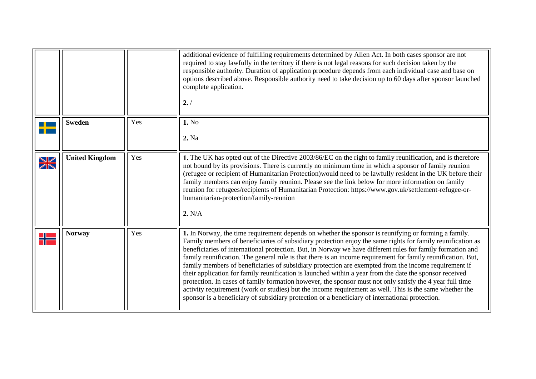<span id="page-6-2"></span><span id="page-6-1"></span><span id="page-6-0"></span>

|                      |                       |     | additional evidence of fulfilling requirements determined by Alien Act. In both cases sponsor are not<br>required to stay lawfully in the territory if there is not legal reasons for such decision taken by the<br>responsible authority. Duration of application procedure depends from each individual case and base on<br>options described above. Responsible authority need to take decision up to 60 days after sponsor launched<br>complete application.<br>2.7                                                                                                                                                                                                                                                                                                                                                                                                                                                                                                                       |
|----------------------|-----------------------|-----|-----------------------------------------------------------------------------------------------------------------------------------------------------------------------------------------------------------------------------------------------------------------------------------------------------------------------------------------------------------------------------------------------------------------------------------------------------------------------------------------------------------------------------------------------------------------------------------------------------------------------------------------------------------------------------------------------------------------------------------------------------------------------------------------------------------------------------------------------------------------------------------------------------------------------------------------------------------------------------------------------|
|                      | <b>Sweden</b>         | Yes | 1. No<br>2. Na                                                                                                                                                                                                                                                                                                                                                                                                                                                                                                                                                                                                                                                                                                                                                                                                                                                                                                                                                                                |
| $\frac{1}{\sqrt{2}}$ | <b>United Kingdom</b> | Yes | 1. The UK has opted out of the Directive 2003/86/EC on the right to family reunification, and is therefore<br>not bound by its provisions. There is currently no minimum time in which a sponsor of family reunion<br>(refugee or recipient of Humanitarian Protection) would need to be lawfully resident in the UK before their<br>family members can enjoy family reunion. Please see the link below for more information on family<br>reunion for refugees/recipients of Humanitarian Protection: https://www.gov.uk/settlement-refugee-or-<br>humanitarian-protection/family-reunion<br>2. N/A                                                                                                                                                                                                                                                                                                                                                                                           |
|                      | <b>Norway</b>         | Yes | 1. In Norway, the time requirement depends on whether the sponsor is reunifying or forming a family.<br>Family members of beneficiaries of subsidiary protection enjoy the same rights for family reunification as<br>beneficiaries of international protection. But, in Norway we have different rules for family formation and<br>family reunification. The general rule is that there is an income requirement for family reunification. But,<br>family members of beneficiaries of subsidiary protection are exempted from the income requirement if<br>their application for family reunification is launched within a year from the date the sponsor received<br>protection. In cases of family formation however, the sponsor must not only satisfy the 4 year full time<br>activity requirement (work or studies) but the income requirement as well. This is the same whether the<br>sponsor is a beneficiary of subsidiary protection or a beneficiary of international protection. |